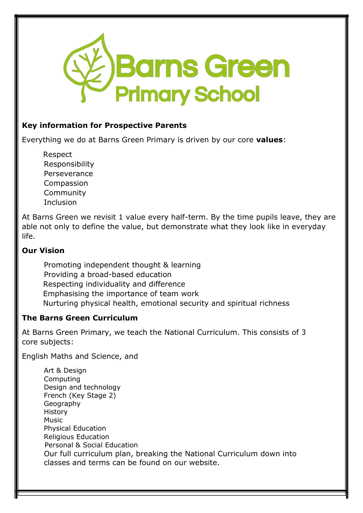

### **Key information for Prospective Parents**

Everything we do at Barns Green Primary is driven by our core **values**:

 Respect Responsibility Perseverance Compassion Community Inclusion

At Barns Green we revisit 1 value every half-term. By the time pupils leave, they are able not only to define the value, but demonstrate what they look like in everyday life.

### **Our Vision**

Promoting independent thought & learning Providing a broad-based education Respecting individuality and difference Emphasising the importance of team work Nurturing physical health, emotional security and spiritual richness

### **The Barns Green Curriculum**

At Barns Green Primary, we teach the National Curriculum. This consists of 3 core subjects:

English Maths and Science, and

Art & Design Computing Design and technology French (Key Stage 2) Geography History Music Physical Education Religious Education Personal & Social Education Our full curriculum plan, breaking the National Curriculum down into classes and terms can be found on our website.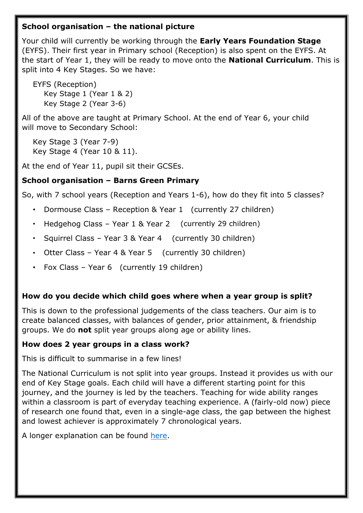## **School organisation – the national picture**

Your child will currently be working through the **Early Years Foundation Stage** (EYFS). Their first year in Primary school (Reception) is also spent on the EYFS. At the start of Year 1, they will be ready to move onto the **National Curriculum**. This is split into 4 Key Stages. So we have:

EYFS (Reception) Key Stage 1 (Year 1 & 2) Key Stage 2 (Year 3-6)

All of the above are taught at Primary School. At the end of Year 6, your child will move to Secondary School:

Key Stage 3 (Year 7-9) Key Stage 4 (Year 10 & 11).

At the end of Year 11, pupil sit their GCSEs.

# **School organisation – Barns Green Primary**

So, with 7 school years (Reception and Years 1-6), how do they fit into 5 classes?

- Dormouse Class Reception & Year 1 (currently 27 children)
- Hedgehog Class Year 1 & Year 2 (currently 29 children)
- Squirrel Class Year 3 & Year 4 (currently 30 children)
- Otter Class Year 4 & Year 5 (currently 30 children)
- Fox Class Year 6 (currently 19 children)

# **How do you decide which child goes where when a year group is split?**

This is down to the professional judgements of the class teachers. Our aim is to create balanced classes, with balances of gender, prior attainment, & friendship groups. We do **not** split year groups along age or ability lines.

### **How does 2 year groups in a class work?**

This is difficult to summarise in a few lines!

The National Curriculum is not split into year groups. Instead it provides us with our end of Key Stage goals. Each child will have a different starting point for this journey, and the journey is led by the teachers. Teaching for wide ability ranges within a classroom is part of everyday teaching experience. A (fairly-old now) piece of research one found that, even in a single-age class, the gap between the highest and lowest achiever is approximately 7 chronological years.

A longer explanation can be found [here.](https://www.barnsgreen.org.uk/wp-content/uploads/2020/10/mixed-age-classes.pdf)